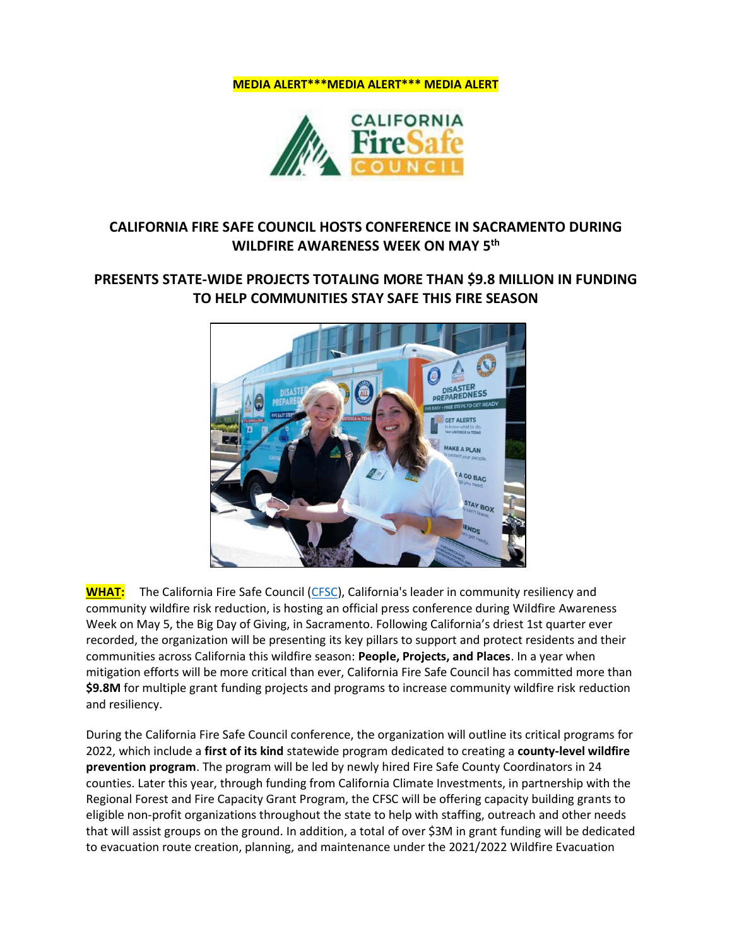



# **CALIFORNIA FIRE SAFE COUNCIL HOSTS CONFERENCE IN SACRAMENTO DURING WILDFIRE AWARENESS WEEK ON MAY 5th**

## **PRESENTS STATE-WIDE PROJECTS TOTALING MORE THAN \$9.8 MILLION IN FUNDING TO HELP COMMUNITIES STAY SAFE THIS FIRE SEASON**



**WHAT:** The California Fire Safe Council [\(CFSC\)](https://cafiresafecouncil.org/), California's leader in community resiliency and community wildfire risk reduction, is hosting an official press conference during Wildfire Awareness Week on May 5, the Big Day of Giving, in Sacramento. Following California's driest 1st quarter ever recorded, the organization will be presenting its key pillars to support and protect residents and their communities across California this wildfire season: **People, Projects, and Places**. In a year when mitigation efforts will be more critical than ever, California Fire Safe Council has committed more than **\$9.8M** for multiple grant funding projects and programs to increase community wildfire risk reduction and resiliency.

During the California Fire Safe Council conference, the organization will outline its critical programs for 2022, which include a **first of its kind** statewide program dedicated to creating a **county-level wildfire prevention program**. The program will be led by newly hired Fire Safe County Coordinators in 24 counties. Later this year, through funding from California Climate Investments, in partnership with the Regional Forest and Fire Capacity Grant Program, the CFSC will be offering capacity building grants to eligible non-profit organizations throughout the state to help with staffing, outreach and other needs that will assist groups on the ground. In addition, a total of over \$3M in grant funding will be dedicated to evacuation route creation, planning, and maintenance under the 2021/2022 Wildfire Evacuation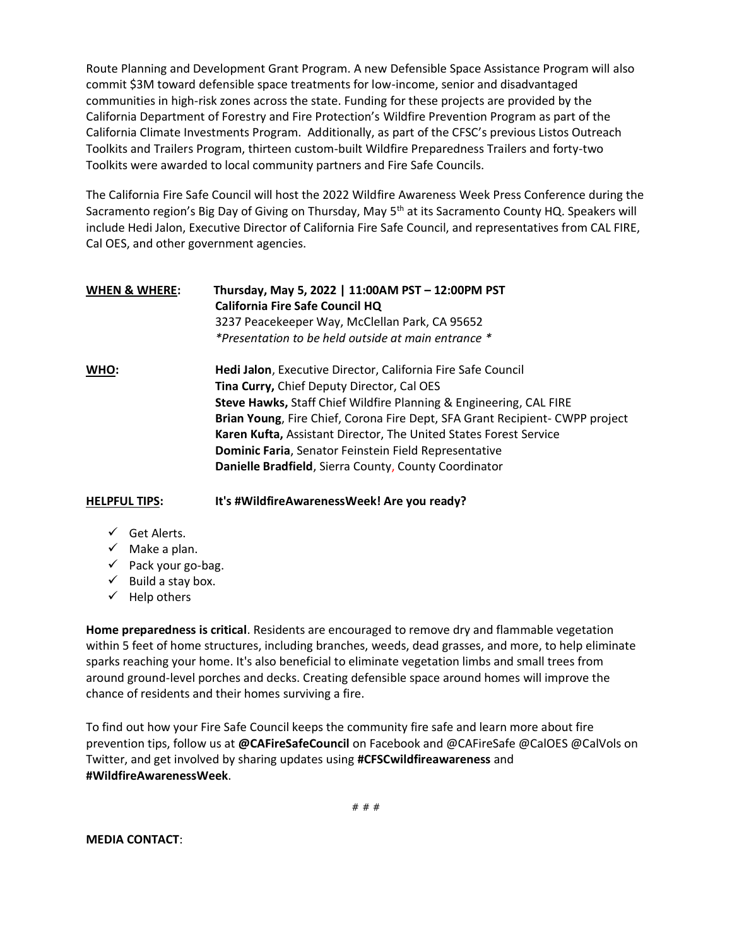Route Planning and Development Grant Program. A new Defensible Space Assistance Program will also commit \$3M toward defensible space treatments for low-income, senior and disadvantaged communities in high-risk zones across the state. Funding for these projects are provided by the California Department of Forestry and Fire Protection's Wildfire Prevention Program as part of the California Climate Investments Program. Additionally, as part of the CFSC's previous Listos Outreach Toolkits and Trailers Program, thirteen custom-built Wildfire Preparedness Trailers and forty-two Toolkits were awarded to local community partners and Fire Safe Councils.

The California Fire Safe Council will host the 2022 Wildfire Awareness Week Press Conference during the Sacramento region's Big Day of Giving on Thursday, May 5<sup>th</sup> at its Sacramento County HQ. Speakers will include Hedi Jalon, Executive Director of California Fire Safe Council, and representatives from CAL FIRE, Cal OES, and other government agencies.

| <b>WHEN &amp; WHERE:</b> | Thursday, May 5, 2022   11:00AM PST - 12:00PM PST<br><b>California Fire Safe Council HQ</b> |
|--------------------------|---------------------------------------------------------------------------------------------|
|                          | 3237 Peacekeeper Way, McClellan Park, CA 95652                                              |
|                          | *Presentation to be held outside at main entrance *                                         |
| WHO:                     | Hedi Jalon, Executive Director, California Fire Safe Council                                |
|                          | Tina Curry, Chief Deputy Director, Cal OES                                                  |
|                          | Steve Hawks, Staff Chief Wildfire Planning & Engineering, CAL FIRE                          |
|                          | Brian Young, Fire Chief, Corona Fire Dept, SFA Grant Recipient- CWPP project                |
|                          | Karen Kufta, Assistant Director, The United States Forest Service                           |
|                          | Dominic Faria, Senator Feinstein Field Representative                                       |
|                          | Danielle Bradfield, Sierra County, County Coordinator                                       |

**HELPFUL TIPS: It's #WildfireAwarenessWeek! Are you ready?**

- $\checkmark$  Get Alerts.
- $\checkmark$  Make a plan.
- ✓ Pack your go-bag.
- $\checkmark$  Build a stay box.
- $\checkmark$  Help others

**Home preparedness is critical**. Residents are encouraged to remove dry and flammable vegetation within 5 feet of home structures, including branches, weeds, dead grasses, and more, to help eliminate sparks reaching your home. It's also beneficial to eliminate vegetation limbs and small trees from around ground-level porches and decks. Creating defensible space around homes will improve the chance of residents and their homes surviving a fire.

To find out how your Fire Safe Council keeps the community fire safe and learn more about fire prevention tips, follow us at **@CAFireSafeCouncil** on Facebook and @CAFireSafe @CalOES @CalVols on Twitter, and get involved by sharing updates using **#CFSCwildfireawareness** and **#WildfireAwarenessWeek**.

**MEDIA CONTACT**: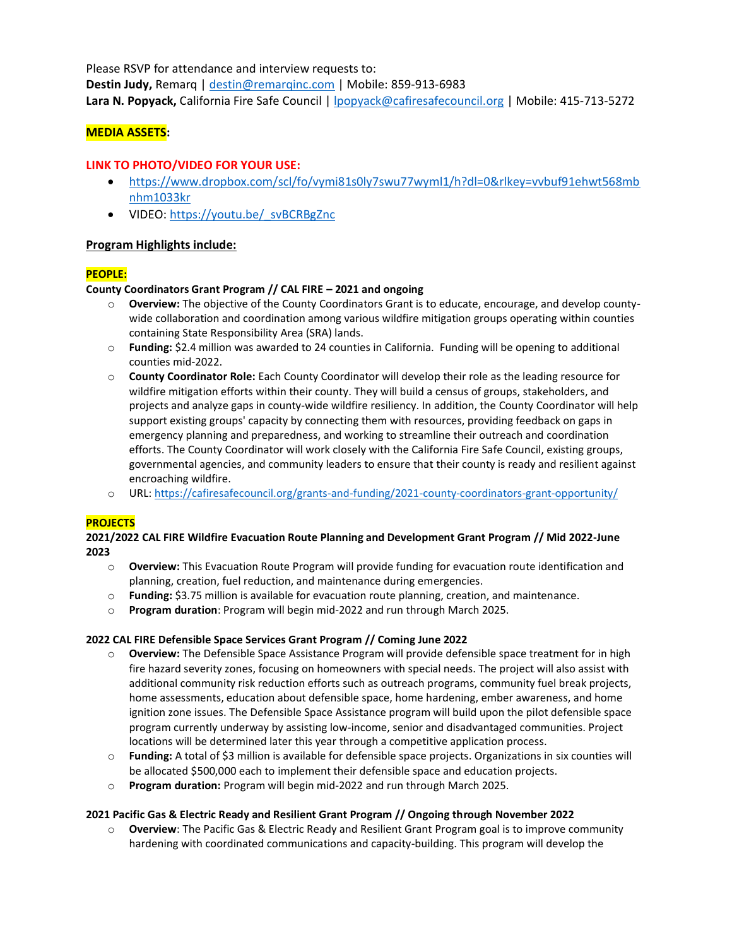Please RSVP for attendance and interview requests to: **Destin Judy,** Remarq | [destin@remarqinc.com](mailto:destin@remarqinc.com) | Mobile: 859-913-6983 **Lara N. Popyack,** California Fire Safe Council | [lpopyack@cafiresafecouncil.org](mailto:lpopyack@cafiresafecouncil.org) | Mobile: 415-713-5272

## **MEDIA ASSETS:**

## **LINK TO PHOTO/VIDEO FOR YOUR USE:**

- [https://www.dropbox.com/scl/fo/vymi81s0ly7swu77wyml1/h?dl=0&rlkey=vvbuf91ehwt568mb](https://www.dropbox.com/scl/fo/vymi81s0ly7swu77wyml1/h?dl=0&rlkey=vvbuf91ehwt568mbnhm1033kr) [nhm1033kr](https://www.dropbox.com/scl/fo/vymi81s0ly7swu77wyml1/h?dl=0&rlkey=vvbuf91ehwt568mbnhm1033kr)
- VIDEO: https://youtu.be/ svBCRBgZnc

## **Program Highlights include:**

## **PEOPLE:**

## **County Coordinators Grant Program // CAL FIRE – 2021 and ongoing**

- o **Overview:** The objective of the County Coordinators Grant is to educate, encourage, and develop countywide collaboration and coordination among various wildfire mitigation groups operating within counties containing State Responsibility Area (SRA) lands.
- o **Funding:** \$2.4 million was awarded to 24 counties in California. Funding will be opening to additional counties mid-2022.
- o **County Coordinator Role:** Each County Coordinator will develop their role as the leading resource for wildfire mitigation efforts within their county. They will build a census of groups, stakeholders, and projects and analyze gaps in county-wide wildfire resiliency. In addition, the County Coordinator will help support existing groups' capacity by connecting them with resources, providing feedback on gaps in emergency planning and preparedness, and working to streamline their outreach and coordination efforts. The County Coordinator will work closely with the California Fire Safe Council, existing groups, governmental agencies, and community leaders to ensure that their county is ready and resilient against encroaching wildfire.
- o URL:<https://cafiresafecouncil.org/grants-and-funding/2021-county-coordinators-grant-opportunity/>

## **PROJECTS**

#### **2021/2022 CAL FIRE Wildfire Evacuation Route Planning and Development Grant Program // Mid 2022-June 2023**

- o **Overview:** This Evacuation Route Program will provide funding for evacuation route identification and planning, creation, fuel reduction, and maintenance during emergencies.
- o **Funding:** \$3.75 million is available for evacuation route planning, creation, and maintenance.
- o **Program duration**: Program will begin mid-2022 and run through March 2025.

#### **2022 CAL FIRE Defensible Space Services Grant Program // Coming June 2022**

- o **Overview:** The Defensible Space Assistance Program will provide defensible space treatment for in high fire hazard severity zones, focusing on homeowners with special needs. The project will also assist with additional community risk reduction efforts such as outreach programs, community fuel break projects, home assessments, education about defensible space, home hardening, ember awareness, and home ignition zone issues. The Defensible Space Assistance program will build upon the pilot defensible space program currently underway by assisting low-income, senior and disadvantaged communities. Project locations will be determined later this year through a competitive application process.
- o **Funding:** A total of \$3 million is available for defensible space projects. Organizations in six counties will be allocated \$500,000 each to implement their defensible space and education projects.
- o **Program duration:** Program will begin mid-2022 and run through March 2025.

#### **2021 Pacific Gas & Electric Ready and Resilient Grant Program // Ongoing through November 2022**

**Overview**: The Pacific Gas & Electric Ready and Resilient Grant Program goal is to improve community hardening with coordinated communications and capacity-building. This program will develop the